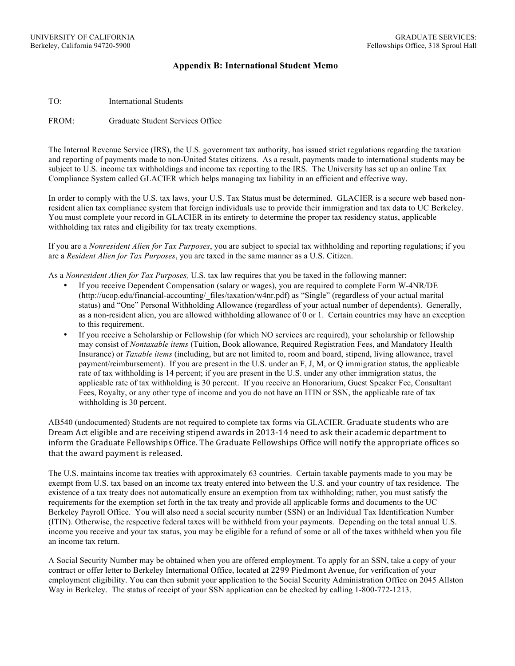## **Appendix B: International Student Memo**

TO: International Students

FROM: Graduate Student Services Office

The Internal Revenue Service (IRS), the U.S. government tax authority, has issued strict regulations regarding the taxation and reporting of payments made to non-United States citizens. As a result, payments made to international students may be subject to U.S. income tax withholdings and income tax reporting to the IRS. The University has set up an online Tax Compliance System called GLACIER which helps managing tax liability in an efficient and effective way.

In order to comply with the U.S. tax laws, your U.S. Tax Status must be determined. GLACIER is a secure web based nonresident alien tax compliance system that foreign individuals use to provide their immigration and tax data to UC Berkeley. You must complete your record in GLACIER in its entirety to determine the proper tax residency status, applicable withholding tax rates and eligibility for tax treaty exemptions.

If you are a *Nonresident Alien for Tax Purposes*, you are subject to special tax withholding and reporting regulations; if you are a *Resident Alien for Tax Purposes*, you are taxed in the same manner as a U.S. Citizen.

As a *Nonresident Alien for Tax Purposes,* U.S. tax law requires that you be taxed in the following manner:

- If you receive Dependent Compensation (salary or wages), you are required to complete Form W-4NR/DE (http://ucop.edu/financial-accounting/\_files/taxation/w4nr.pdf) as "Single" (regardless of your actual marital status) and "One" Personal Withholding Allowance (regardless of your actual number of dependents). Generally, as a non-resident alien, you are allowed withholding allowance of 0 or 1. Certain countries may have an exception to this requirement.
- If you receive a Scholarship or Fellowship (for which NO services are required), your scholarship or fellowship may consist of *Nontaxable items* (Tuition, Book allowance, Required Registration Fees, and Mandatory Health Insurance) or *Taxable items* (including, but are not limited to, room and board, stipend, living allowance, travel payment/reimbursement). If you are present in the U.S. under an F, J, M, or Q immigration status, the applicable rate of tax withholding is 14 percent; if you are present in the U.S. under any other immigration status, the applicable rate of tax withholding is 30 percent. If you receive an Honorarium, Guest Speaker Fee, Consultant Fees, Royalty, or any other type of income and you do not have an ITIN or SSN, the applicable rate of tax withholding is 30 percent.

AB540 (undocumented) Students are not required to complete tax forms via GLACIER. Graduate students who are Dream Act eligible and are receiving stipend awards in 2013-14 need to ask their academic department to inform the Graduate Fellowships Office. The Graduate Fellowships Office will notify the appropriate offices so that the award payment is released.

The U.S. maintains income tax treaties with approximately 63 countries. Certain taxable payments made to you may be exempt from U.S. tax based on an income tax treaty entered into between the U.S. and your country of tax residence. The existence of a tax treaty does not automatically ensure an exemption from tax withholding; rather, you must satisfy the requirements for the exemption set forth in the tax treaty and provide all applicable forms and documents to the UC Berkeley Payroll Office. You will also need a social security number (SSN) or an Individual Tax Identification Number (ITIN). Otherwise, the respective federal taxes will be withheld from your payments. Depending on the total annual U.S. income you receive and your tax status, you may be eligible for a refund of some or all of the taxes withheld when you file an income tax return.

A Social Security Number may be obtained when you are offered employment. To apply for an SSN, take a copy of your contract or offer letter to Berkeley International Office, located at 2299 Piedmont Avenue, for verification of your employment eligibility. You can then submit your application to the Social Security Administration Office on 2045 Allston Way in Berkeley. The status of receipt of your SSN application can be checked by calling 1-800-772-1213.